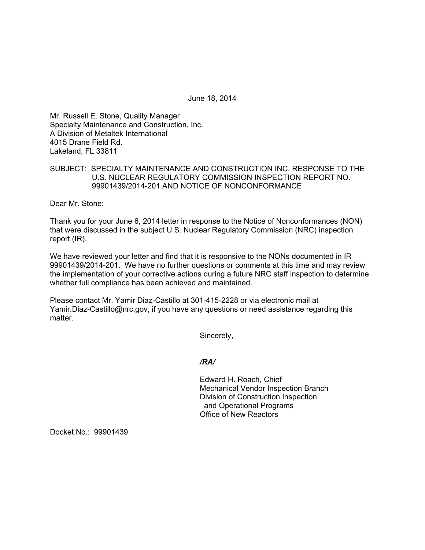June 18, 2014

Mr. Russell E. Stone, Quality Manager Specialty Maintenance and Construction, Inc. A Division of Metaltek International 4015 Drane Field Rd. Lakeland, FL 33811

# SUBJECT: SPECIALTY MAINTENANCE AND CONSTRUCTION INC. RESPONSE TO THE U.S. NUCLEAR REGULATORY COMMISSION INSPECTION REPORT NO. 99901439/2014-201 AND NOTICE OF NONCONFORMANCE

Dear Mr. Stone:

Thank you for your June 6, 2014 letter in response to the Notice of Nonconformances (NON) that were discussed in the subject U.S. Nuclear Regulatory Commission (NRC) inspection report (IR).

We have reviewed your letter and find that it is responsive to the NONs documented in IR 99901439/2014-201. We have no further questions or comments at this time and may review the implementation of your corrective actions during a future NRC staff inspection to determine whether full compliance has been achieved and maintained.

Please contact Mr. Yamir Diaz-Castillo at 301-415-2228 or via electronic mail at Yamir.Diaz-Castillo@nrc.gov, if you have any questions or need assistance regarding this matter.

Sincerely,

### */RA/*

Edward H. Roach, Chief Mechanical Vendor Inspection Branch Division of Construction Inspection and Operational Programs Office of New Reactors

Docket No.: 99901439